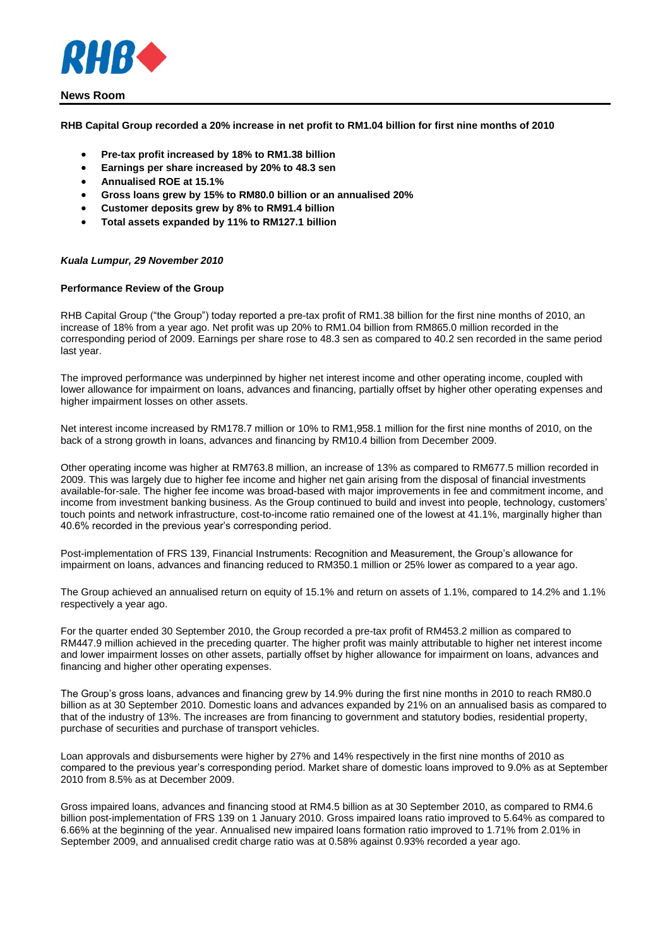

**RHB Capital Group recorded a 20% increase in net profit to RM1.04 billion for first nine months of 2010**

- **Pre-tax profit increased by 18% to RM1.38 billion**
- **Earnings per share increased by 20% to 48.3 sen**
- **Annualised ROE at 15.1%**
- **Gross loans grew by 15% to RM80.0 billion or an annualised 20%**
- **Customer deposits grew by 8% to RM91.4 billion**
- **Total assets expanded by 11% to RM127.1 billion**

### *Kuala Lumpur, 29 November 2010*

### **Performance Review of the Group**

RHB Capital Group ("the Group") today reported a pre-tax profit of RM1.38 billion for the first nine months of 2010, an increase of 18% from a year ago. Net profit was up 20% to RM1.04 billion from RM865.0 million recorded in the corresponding period of 2009. Earnings per share rose to 48.3 sen as compared to 40.2 sen recorded in the same period last year.

The improved performance was underpinned by higher net interest income and other operating income, coupled with lower allowance for impairment on loans, advances and financing, partially offset by higher other operating expenses and higher impairment losses on other assets.

Net interest income increased by RM178.7 million or 10% to RM1,958.1 million for the first nine months of 2010, on the back of a strong growth in loans, advances and financing by RM10.4 billion from December 2009.

Other operating income was higher at RM763.8 million, an increase of 13% as compared to RM677.5 million recorded in 2009. This was largely due to higher fee income and higher net gain arising from the disposal of financial investments available-for-sale. The higher fee income was broad-based with major improvements in fee and commitment income, and income from investment banking business. As the Group continued to build and invest into people, technology, customers' touch points and network infrastructure, cost-to-income ratio remained one of the lowest at 41.1%, marginally higher than 40.6% recorded in the previous year's corresponding period.

Post-implementation of FRS 139, Financial Instruments: Recognition and Measurement, the Group's allowance for impairment on loans, advances and financing reduced to RM350.1 million or 25% lower as compared to a year ago.

The Group achieved an annualised return on equity of 15.1% and return on assets of 1.1%, compared to 14.2% and 1.1% respectively a year ago.

For the quarter ended 30 September 2010, the Group recorded a pre-tax profit of RM453.2 million as compared to RM447.9 million achieved in the preceding quarter. The higher profit was mainly attributable to higher net interest income and lower impairment losses on other assets, partially offset by higher allowance for impairment on loans, advances and financing and higher other operating expenses.

The Group's gross loans, advances and financing grew by 14.9% during the first nine months in 2010 to reach RM80.0 billion as at 30 September 2010. Domestic loans and advances expanded by 21% on an annualised basis as compared to that of the industry of 13%. The increases are from financing to government and statutory bodies, residential property, purchase of securities and purchase of transport vehicles.

Loan approvals and disbursements were higher by 27% and 14% respectively in the first nine months of 2010 as compared to the previous year's corresponding period. Market share of domestic loans improved to 9.0% as at September 2010 from 8.5% as at December 2009.

Gross impaired loans, advances and financing stood at RM4.5 billion as at 30 September 2010, as compared to RM4.6 billion post-implementation of FRS 139 on 1 January 2010. Gross impaired loans ratio improved to 5.64% as compared to 6.66% at the beginning of the year. Annualised new impaired loans formation ratio improved to 1.71% from 2.01% in September 2009, and annualised credit charge ratio was at 0.58% against 0.93% recorded a year ago.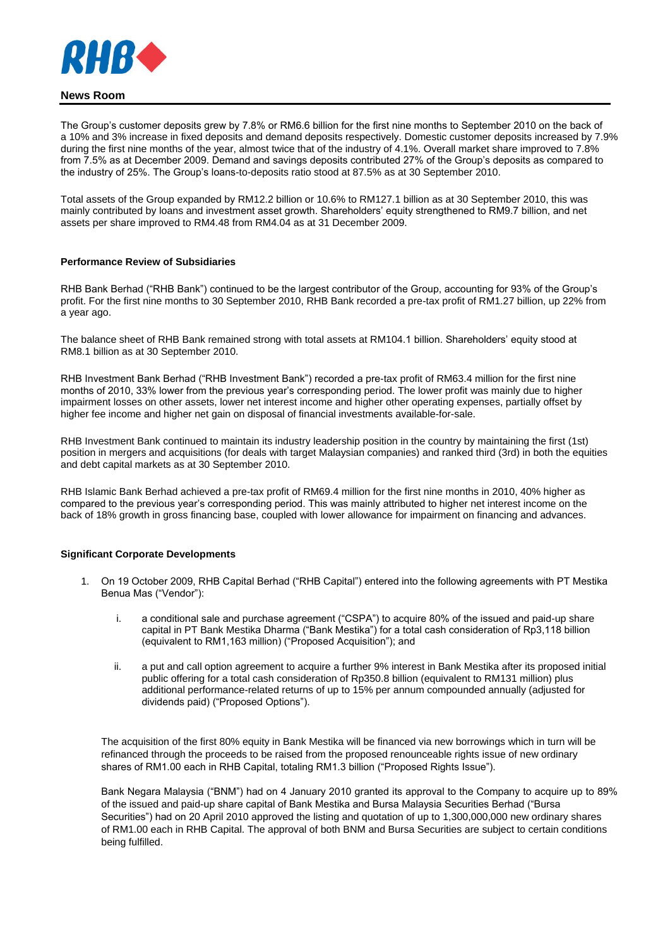

The Group's customer deposits grew by 7.8% or RM6.6 billion for the first nine months to September 2010 on the back of a 10% and 3% increase in fixed deposits and demand deposits respectively. Domestic customer deposits increased by 7.9% during the first nine months of the year, almost twice that of the industry of 4.1%. Overall market share improved to 7.8% from 7.5% as at December 2009. Demand and savings deposits contributed 27% of the Group's deposits as compared to the industry of 25%. The Group's loans-to-deposits ratio stood at 87.5% as at 30 September 2010.

Total assets of the Group expanded by RM12.2 billion or 10.6% to RM127.1 billion as at 30 September 2010, this was mainly contributed by loans and investment asset growth. Shareholders' equity strengthened to RM9.7 billion, and net assets per share improved to RM4.48 from RM4.04 as at 31 December 2009.

### **Performance Review of Subsidiaries**

RHB Bank Berhad ("RHB Bank") continued to be the largest contributor of the Group, accounting for 93% of the Group's profit. For the first nine months to 30 September 2010, RHB Bank recorded a pre-tax profit of RM1.27 billion, up 22% from a year ago.

The balance sheet of RHB Bank remained strong with total assets at RM104.1 billion. Shareholders' equity stood at RM8.1 billion as at 30 September 2010.

RHB Investment Bank Berhad ("RHB Investment Bank") recorded a pre-tax profit of RM63.4 million for the first nine months of 2010, 33% lower from the previous year's corresponding period. The lower profit was mainly due to higher impairment losses on other assets, lower net interest income and higher other operating expenses, partially offset by higher fee income and higher net gain on disposal of financial investments available-for-sale.

RHB Investment Bank continued to maintain its industry leadership position in the country by maintaining the first (1st) position in mergers and acquisitions (for deals with target Malaysian companies) and ranked third (3rd) in both the equities and debt capital markets as at 30 September 2010.

RHB Islamic Bank Berhad achieved a pre-tax profit of RM69.4 million for the first nine months in 2010, 40% higher as compared to the previous year's corresponding period. This was mainly attributed to higher net interest income on the back of 18% growth in gross financing base, coupled with lower allowance for impairment on financing and advances.

#### **Significant Corporate Developments**

- 1. On 19 October 2009, RHB Capital Berhad ("RHB Capital") entered into the following agreements with PT Mestika Benua Mas ("Vendor"):
	- i. a conditional sale and purchase agreement ("CSPA") to acquire 80% of the issued and paid-up share capital in PT Bank Mestika Dharma ("Bank Mestika") for a total cash consideration of Rp3,118 billion (equivalent to RM1,163 million) ("Proposed Acquisition"); and
	- ii. a put and call option agreement to acquire a further 9% interest in Bank Mestika after its proposed initial public offering for a total cash consideration of Rp350.8 billion (equivalent to RM131 million) plus additional performance-related returns of up to 15% per annum compounded annually (adjusted for dividends paid) ("Proposed Options").

The acquisition of the first 80% equity in Bank Mestika will be financed via new borrowings which in turn will be refinanced through the proceeds to be raised from the proposed renounceable rights issue of new ordinary shares of RM1.00 each in RHB Capital, totaling RM1.3 billion ("Proposed Rights Issue").

Bank Negara Malaysia ("BNM") had on 4 January 2010 granted its approval to the Company to acquire up to 89% of the issued and paid-up share capital of Bank Mestika and Bursa Malaysia Securities Berhad ("Bursa Securities") had on 20 April 2010 approved the listing and quotation of up to 1,300,000,000 new ordinary shares of RM1.00 each in RHB Capital. The approval of both BNM and Bursa Securities are subject to certain conditions being fulfilled.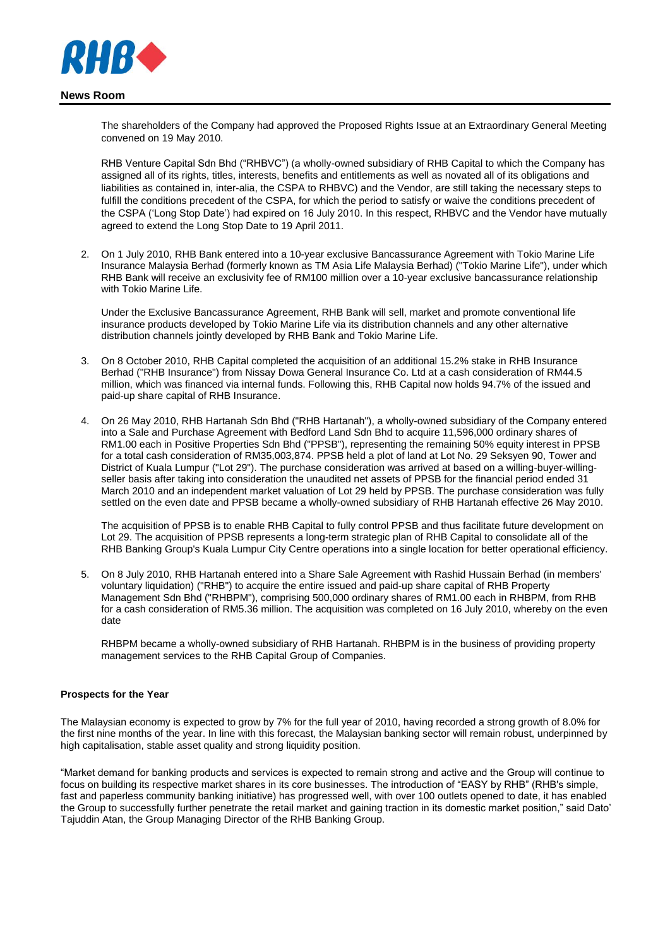

The shareholders of the Company had approved the Proposed Rights Issue at an Extraordinary General Meeting convened on 19 May 2010.

RHB Venture Capital Sdn Bhd ("RHBVC") (a wholly-owned subsidiary of RHB Capital to which the Company has assigned all of its rights, titles, interests, benefits and entitlements as well as novated all of its obligations and liabilities as contained in, inter-alia, the CSPA to RHBVC) and the Vendor, are still taking the necessary steps to fulfill the conditions precedent of the CSPA, for which the period to satisfy or waive the conditions precedent of the CSPA ('Long Stop Date') had expired on 16 July 2010. In this respect, RHBVC and the Vendor have mutually agreed to extend the Long Stop Date to 19 April 2011.

2. On 1 July 2010, RHB Bank entered into a 10-year exclusive Bancassurance Agreement with Tokio Marine Life Insurance Malaysia Berhad (formerly known as TM Asia Life Malaysia Berhad) ("Tokio Marine Life"), under which RHB Bank will receive an exclusivity fee of RM100 million over a 10-year exclusive bancassurance relationship with Tokio Marine Life.

Under the Exclusive Bancassurance Agreement, RHB Bank will sell, market and promote conventional life insurance products developed by Tokio Marine Life via its distribution channels and any other alternative distribution channels jointly developed by RHB Bank and Tokio Marine Life.

- 3. On 8 October 2010, RHB Capital completed the acquisition of an additional 15.2% stake in RHB Insurance Berhad ("RHB Insurance") from Nissay Dowa General Insurance Co. Ltd at a cash consideration of RM44.5 million, which was financed via internal funds. Following this, RHB Capital now holds 94.7% of the issued and paid-up share capital of RHB Insurance.
- 4. On 26 May 2010, RHB Hartanah Sdn Bhd ("RHB Hartanah"), a wholly-owned subsidiary of the Company entered into a Sale and Purchase Agreement with Bedford Land Sdn Bhd to acquire 11,596,000 ordinary shares of RM1.00 each in Positive Properties Sdn Bhd ("PPSB"), representing the remaining 50% equity interest in PPSB for a total cash consideration of RM35,003,874. PPSB held a plot of land at Lot No. 29 Seksyen 90, Tower and District of Kuala Lumpur ("Lot 29"). The purchase consideration was arrived at based on a willing-buyer-willingseller basis after taking into consideration the unaudited net assets of PPSB for the financial period ended 31 March 2010 and an independent market valuation of Lot 29 held by PPSB. The purchase consideration was fully settled on the even date and PPSB became a wholly-owned subsidiary of RHB Hartanah effective 26 May 2010.

The acquisition of PPSB is to enable RHB Capital to fully control PPSB and thus facilitate future development on Lot 29. The acquisition of PPSB represents a long-term strategic plan of RHB Capital to consolidate all of the RHB Banking Group's Kuala Lumpur City Centre operations into a single location for better operational efficiency.

5. On 8 July 2010, RHB Hartanah entered into a Share Sale Agreement with Rashid Hussain Berhad (in members' voluntary liquidation) ("RHB") to acquire the entire issued and paid-up share capital of RHB Property Management Sdn Bhd ("RHBPM"), comprising 500,000 ordinary shares of RM1.00 each in RHBPM, from RHB for a cash consideration of RM5.36 million. The acquisition was completed on 16 July 2010, whereby on the even date

RHBPM became a wholly-owned subsidiary of RHB Hartanah. RHBPM is in the business of providing property management services to the RHB Capital Group of Companies.

## **Prospects for the Year**

The Malaysian economy is expected to grow by 7% for the full year of 2010, having recorded a strong growth of 8.0% for the first nine months of the year. In line with this forecast, the Malaysian banking sector will remain robust, underpinned by high capitalisation, stable asset quality and strong liquidity position.

"Market demand for banking products and services is expected to remain strong and active and the Group will continue to focus on building its respective market shares in its core businesses. The introduction of "EASY by RHB" (RHB's simple, fast and paperless community banking initiative) has progressed well, with over 100 outlets opened to date, it has enabled the Group to successfully further penetrate the retail market and gaining traction in its domestic market position," said Dato' Tajuddin Atan, the Group Managing Director of the RHB Banking Group.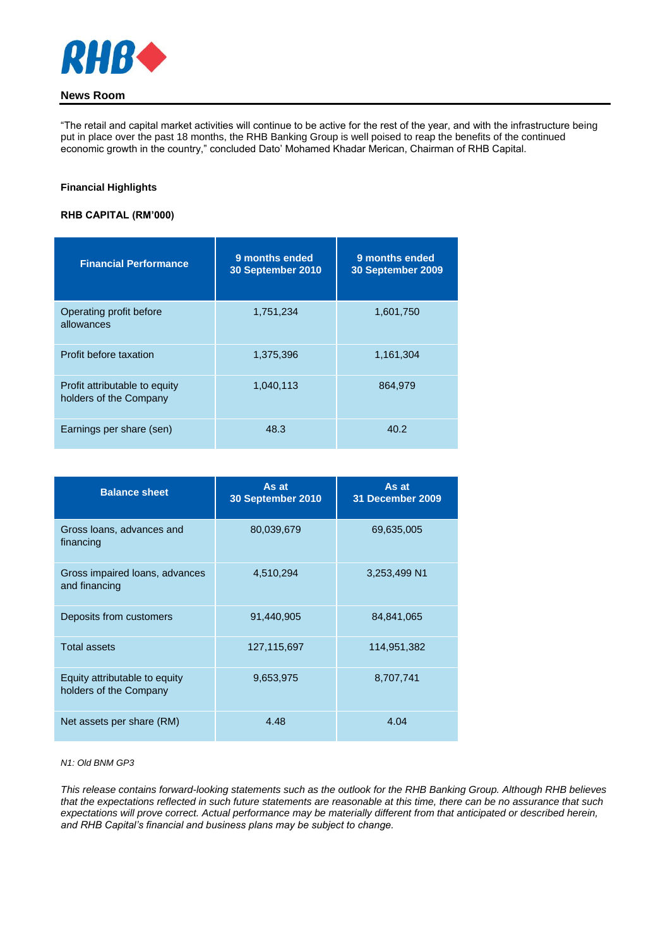

"The retail and capital market activities will continue to be active for the rest of the year, and with the infrastructure being put in place over the past 18 months, the RHB Banking Group is well poised to reap the benefits of the continued economic growth in the country," concluded Dato' Mohamed Khadar Merican, Chairman of RHB Capital.

## **Financial Highlights**

## **RHB CAPITAL (RM'000)**

| <b>Financial Performance</b>                            | 9 months ended<br>30 September 2010 | 9 months ended<br>30 September 2009 |
|---------------------------------------------------------|-------------------------------------|-------------------------------------|
| Operating profit before<br>allowances                   | 1,751,234                           | 1,601,750                           |
| Profit before taxation                                  | 1,375,396                           | 1,161,304                           |
| Profit attributable to equity<br>holders of the Company | 1,040,113                           | 864,979                             |
| Earnings per share (sen)                                | 48.3                                | 40.2                                |

| <b>Balance sheet</b>                                    | As at<br>30 September 2010 | As at<br>31 December 2009 |
|---------------------------------------------------------|----------------------------|---------------------------|
| Gross loans, advances and<br>financing                  | 80,039,679                 | 69,635,005                |
| Gross impaired loans, advances<br>and financing         | 4,510,294                  | 3,253,499 N1              |
| Deposits from customers                                 | 91,440,905                 | 84,841,065                |
| <b>Total assets</b>                                     | 127,115,697                | 114,951,382               |
| Equity attributable to equity<br>holders of the Company | 9,653,975                  | 8,707,741                 |
| Net assets per share (RM)                               | 4.48                       | 4.04                      |

### *N1: Old BNM GP3*

*This release contains forward-looking statements such as the outlook for the RHB Banking Group. Although RHB believes that the expectations reflected in such future statements are reasonable at this time, there can be no assurance that such expectations will prove correct. Actual performance may be materially different from that anticipated or described herein, and RHB Capital's financial and business plans may be subject to change.*